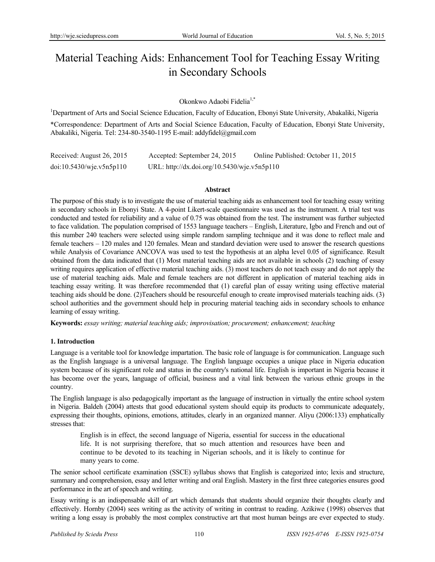# Material Teaching Aids: Enhancement Tool for Teaching Essay Writing in Secondary Schools

Okonkwo Adaobi Fidelia<sup>1,\*</sup>

<sup>1</sup>Department of Arts and Social Science Education, Faculty of Education, Ebonyi State University, Abakaliki, Nigeria

\*Correspondence: Department of Arts and Social Science Education, Faculty of Education, Ebonyi State University, Abakaliki, Nigeria. Tel: 234-80-3540-1195 E-mail: addyfidel@gmail.com

Received: August 26, 2015 Accepted: September 24, 2015 Online Published: October 11, 2015 doi:10.5430/wje.v5n5p110 URL: http://dx.doi.org/10.5430/wje.v5n5p110

#### **Abstract**

The purpose of this study is to investigate the use of material teaching aids as enhancement tool for teaching essay writing in secondary schools in Ebonyi State. A 4-point Likert-scale questionnaire was used as the instrument. A trial test was conducted and tested for reliability and a value of 0.75 was obtained from the test. The instrument was further subjected to face validation. The population comprised of 1553 language teachers – English, Literature, Igbo and French and out of this number 240 teachers were selected using simple random sampling technique and it was done to reflect male and female teachers – 120 males and 120 females. Mean and standard deviation were used to answer the research questions while Analysis of Covariance ANCOVA was used to test the hypothesis at an alpha level 0.05 of significance. Result obtained from the data indicated that (1) Most material teaching aids are not available in schools (2) teaching of essay writing requires application of effective material teaching aids. (3) most teachers do not teach essay and do not apply the use of material teaching aids. Male and female teachers are not different in application of material teaching aids in teaching essay writing. It was therefore recommended that (1) careful plan of essay writing using effective material teaching aids should be done. (2)Teachers should be resourceful enough to create improvised materials teaching aids. (3) school authorities and the government should help in procuring material teaching aids in secondary schools to enhance learning of essay writing.

**Keywords:** *essay writing; material teaching aids; improvisation; procurement; enhancement; teaching* 

# **1. Introduction**

Language is a veritable tool for knowledge impartation. The basic role of language is for communication. Language such as the English language is a universal language. The English language occupies a unique place in Nigeria education system because of its significant role and status in the country's national life. English is important in Nigeria because it has become over the years, language of official, business and a vital link between the various ethnic groups in the country.

The English language is also pedagogically important as the language of instruction in virtually the entire school system in Nigeria. Baldeh (2004) attests that good educational system should equip its products to communicate adequately, expressing their thoughts, opinions, emotions, attitudes, clearly in an organized manner. Aliyu (2006:133) emphatically stresses that:

English is in effect, the second language of Nigeria, essential for success in the educational life. It is not surprising therefore, that so much attention and resources have been and continue to be devoted to its teaching in Nigerian schools, and it is likely to continue for many years to come.

The senior school certificate examination (SSCE) syllabus shows that English is categorized into; lexis and structure, summary and comprehension, essay and letter writing and oral English. Mastery in the first three categories ensures good performance in the art of speech and writing.

Essay writing is an indispensable skill of art which demands that students should organize their thoughts clearly and effectively. Hornby (2004) sees writing as the activity of writing in contrast to reading. Azikiwe (1998) observes that writing a long essay is probably the most complex constructive art that most human beings are ever expected to study.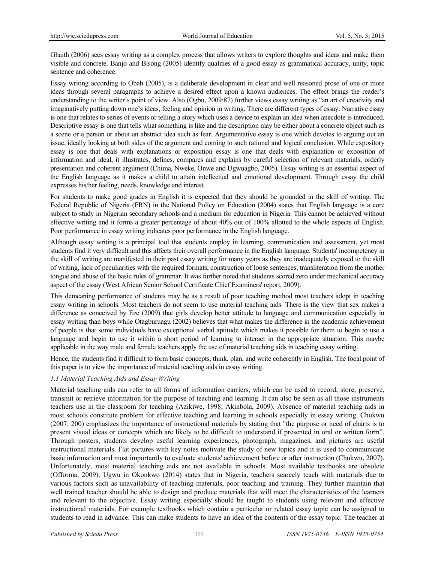Ghaith (2006) sees essay writing as a complex process that allows writers to explore thoughts and ideas and make them visible and concrete. Banjo and Bisong (2005) identify qualities of a good essay as grammatical accuracy, unity, topic sentence and coherence.

Essay writing according to Obah (2005), is a deliberate development in clear and well reasoned prose of one or more ideas through several paragraphs to achieve a desired effect upon a known audiences. The effect brings the reader's understanding to the writer's point of view. Also (Ogbu, 2009:87) further views essay writing as "an art of creativity and imaginatively putting down one's ideas, feeling and opinion in writing. There are different types of essay. Narrative essay is one that relates to series of events or telling a story which uses a device to explain an idea when anecdote is introduced. Descriptive essay is one that tells what something is like and the description may be either about a concrete object such as a scene or a person or about an abstract idea such as fear. Argumentative essay is one which devotes to arguing out an issue, ideally looking at both sides of the argument and coming to such rational and logical conclusion. While expository essay is one that deals with explanations or exposition essay is one that deals with explanation or exposition of information and ideal, it illustrates, defines, compares and explains by careful selection of relevant materials, orderly presentation and coherent argument (Chima, Nweke, Onwe and Ugwuagbo, 2005). Essay writing is an essential aspect of the English language as it makes a child to attain intellectual and emotional development. Through essay the child expresses his/her feeling, needs, knowledge and interest.

For students to make good grades in English it is expected that they should be grounded in the skill of writing. The Federal Republic of Nigeria (FRN) in the National Policy on Education (2004) states that English language is a core subject to study in Nigerian secondary schools and a medium for education in Nigeria. This cannot be achieved without effective writing and it forms a greater percentage of about 40% out of 100% allotted to the whole aspects of English. Poor performance in essay writing indicates poor performance in the English language.

Although essay writing is a principal tool that students employ in learning, communication and assessment, yet most students find it very difficult and this affects their overall performance in the English language. Students' incompetency in the skill of writing are manifested in their past essay writing for many years as they are inadequately exposed to the skill of writing, lack of peculiarities with the required formats, construction of loose sentences, transliteration from the mother tongue and abuse of the basic rules of grammar. It was further noted that students scored zero under mechanical accuracy aspect of the essay (West African Senior School Certificate Chief Examiners' report, 2009).

This demeaning performance of students may be as a result of poor teaching method most teachers adopt in teaching essay writing in schools. Most teachers do not seem to use material teaching aids. There is the view that sex makes a difference as conceived by Eze (2009) that girls develop better attitude to language and communication especially in essay writing than boys while Otagburuagu (2002) believes that what makes the difference in the academic achievement of people is that some individuals have exceptional verbal aptitude which makes it possible for them to begin to use a language and begin to use it within a short period of learning to interact in the appropriate situation. This maybe applicable in the way male and female teachers apply the use of material teaching aids in teaching essay writing.

Hence, the students find it difficult to form basic concepts, think, plan, and write coherently in English. The focal point of this paper is to view the importance of material teaching aids in essay writing.

# *1.1 Material Teaching Aids and Essay Writing*

Material teaching aids can refer to all forms of information carriers, which can be used to record, store, preserve, transmit or retrieve information for the purpose of teaching and learning. It can also be seen as all those instruments teachers use in the classroom for teaching (Azikiwe, 1998; Akinbola, 2009). Absence of material teaching aids in most schools constitute problem for effective teaching and learning in schools especially in essay writing. Chukwu (2007: 200) emphasizes the importance of instructional materials by stating that "the purpose or need of charts is to present visual ideas or concepts which are likely to be difficult to understand if presented in oral or written form". Through posters, students develop useful learning experiences, photograph, magazines, and pictures are useful instructional materials. Flat pictures with key notes motivate the study of new topics and it is used to communicate basic information and most importantly to evaluate students' achievement before or after instruction (Chukwu, 2007). Unfortunately, most material teaching aids are not available in schools. Most available textbooks are obsolete (Offorma, 2009). Ugwu in Okonkwo (2014) states that in Nigeria, teachers scarcely teach with materials due to various factors such as unavailability of teaching materials, poor teaching and training. They further maintain that well trained teacher should be able to design and produce materials that will meet the characteristics of the learners and relevant to the objective. Essay writing especially should be taught to students using relevant and effective instructional materials. For example textbooks which contain a particular or related essay topic can be assigned to students to read in advance. This can make students to have an idea of the contents of the essay topic. The teacher at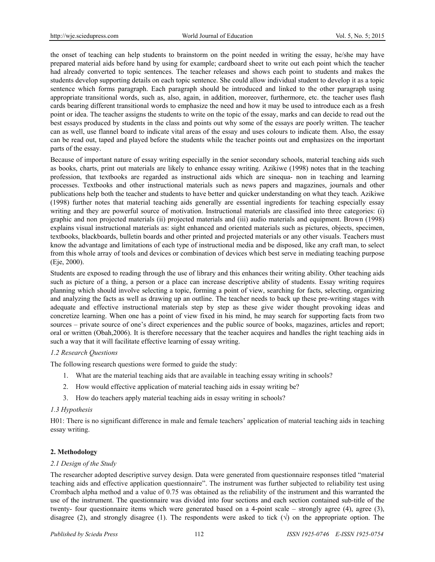the onset of teaching can help students to brainstorm on the point needed in writing the essay, he/she may have prepared material aids before hand by using for example; cardboard sheet to write out each point which the teacher had already converted to topic sentences. The teacher releases and shows each point to students and makes the students develop supporting details on each topic sentence. She could allow individual student to develop it as a topic sentence which forms paragraph. Each paragraph should be introduced and linked to the other paragraph using appropriate transitional words, such as, also, again, in addition, moreover, furthermore, etc. the teacher uses flash cards bearing different transitional words to emphasize the need and how it may be used to introduce each as a fresh point or idea. The teacher assigns the students to write on the topic of the essay, marks and can decide to read out the best essays produced by students in the class and points out why some of the essays are poorly written. The teacher can as well, use flannel board to indicate vital areas of the essay and uses colours to indicate them. Also, the essay can be read out, taped and played before the students while the teacher points out and emphasizes on the important parts of the essay.

Because of important nature of essay writing especially in the senior secondary schools, material teaching aids such as books, charts, print out materials are likely to enhance essay writing. Azikiwe (1998) notes that in the teaching profession, that textbooks are regarded as instructional aids which are sinequa- non in teaching and learning processes. Textbooks and other instructional materials such as news papers and magazines, journals and other publications help both the teacher and students to have better and quicker understanding on what they teach. Azikiwe (1998) further notes that material teaching aids generally are essential ingredients for teaching especially essay writing and they are powerful source of motivation. Instructional materials are classified into three categories: (i) graphic and non projected materials (ii) projected materials and (iii) audio materials and equipment. Brown (1998) explains visual instructional materials as: sight enhanced and oriented materials such as pictures, objects, specimen, textbooks, blackboards, bulletin boards and other printed and projected materials or any other visuals. Teachers must know the advantage and limitations of each type of instructional media and be disposed, like any craft man, to select from this whole array of tools and devices or combination of devices which best serve in mediating teaching purpose (Eje, 2000).

Students are exposed to reading through the use of library and this enhances their writing ability. Other teaching aids such as picture of a thing, a person or a place can increase descriptive ability of students. Essay writing requires planning which should involve selecting a topic, forming a point of view, searching for facts, selecting, organizing and analyzing the facts as well as drawing up an outline. The teacher needs to back up these pre-writing stages with adequate and effective instructional materials step by step as these give wider thought provoking ideas and concretize learning. When one has a point of view fixed in his mind, he may search for supporting facts from two sources – private source of one's direct experiences and the public source of books, magazines, articles and report; oral or written (Obah,2006). It is therefore necessary that the teacher acquires and handles the right teaching aids in such a way that it will facilitate effective learning of essay writing.

# *1.2 Research Questions*

The following research questions were formed to guide the study:

- 1. What are the material teaching aids that are available in teaching essay writing in schools?
- 2. How would effective application of material teaching aids in essay writing be?
- 3. How do teachers apply material teaching aids in essay writing in schools?

# *1.3 Hypothesis*

H01: There is no significant difference in male and female teachers' application of material teaching aids in teaching essay writing.

# **2. Methodology**

# *2.1 Design of the Study*

The researcher adopted descriptive survey design. Data were generated from questionnaire responses titled "material teaching aids and effective application questionnaire". The instrument was further subjected to reliability test using Crombach alpha method and a value of 0.75 was obtained as the reliability of the instrument and this warranted the use of the instrument. The questionnaire was divided into four sections and each section contained sub-title of the twenty- four questionnaire items which were generated based on a 4-point scale – strongly agree (4), agree (3), disagree (2), and strongly disagree (1). The respondents were asked to tick  $(\sqrt{)}$  on the appropriate option. The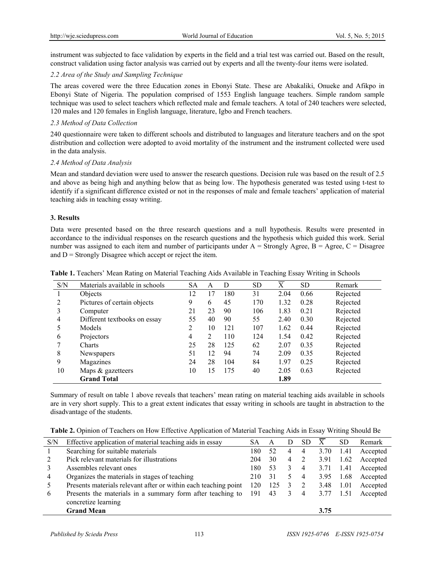instrument was subjected to face validation by experts in the field and a trial test was carried out. Based on the result, construct validation using factor analysis was carried out by experts and all the twenty-four items were isolated.

# *2.2 Area of the Study and Sampling Technique*

The areas covered were the three Education zones in Ebonyi State. These are Abakaliki, Onueke and Afikpo in Ebonyi State of Nigeria. The population comprised of 1553 English language teachers. Simple random sample technique was used to select teachers which reflected male and female teachers. A total of 240 teachers were selected, 120 males and 120 females in English language, literature, Igbo and French teachers.

# *2.3 Method of Data Collection*

240 questionnaire were taken to different schools and distributed to languages and literature teachers and on the spot distribution and collection were adopted to avoid mortality of the instrument and the instrument collected were used in the data analysis.

# *2.4 Method of Data Analysis*

Mean and standard deviation were used to answer the research questions. Decision rule was based on the result of 2.5 and above as being high and anything below that as being low. The hypothesis generated was tested using t-test to identify if a significant difference existed or not in the responses of male and female teachers' application of material teaching aids in teaching essay writing.

# **3. Results**

Data were presented based on the three research questions and a null hypothesis. Results were presented in accordance to the individual responses on the research questions and the hypothesis which guided this work. Serial number was assigned to each item and number of participants under  $A =$  Strongly Agree,  $B =$  Agree,  $C =$  Disagree and  $D =$  Strongly Disagree which accept or reject the item.

| S/N | Materials available in schools | SА | A  | D   | SD  | $\overline{\text{X}}$ | <b>SD</b> | Remark   |
|-----|--------------------------------|----|----|-----|-----|-----------------------|-----------|----------|
|     | Objects                        | 12 | 17 | 180 | 31  | 2.04                  | 0.66      | Rejected |
| 2   | Pictures of certain objects    | 9  | 6  | 45  | 170 | 1.32                  | 0.28      | Rejected |
| 3   | Computer                       | 21 | 23 | 90  | 106 | 1.83                  | 0.21      | Rejected |
| 4   | Different textbooks on essay   | 55 | 40 | 90  | 55  | 2.40                  | 0.30      | Rejected |
|     | Models                         | 2  | 10 | 121 | 107 | 1.62                  | 0.44      | Rejected |
| 6   | Projectors                     | 4  | 2  | 110 | 124 | 1.54                  | 0.42      | Rejected |
|     | Charts                         | 25 | 28 | 125 | 62  | 2.07                  | 0.35      | Rejected |
| 8   | Newspapers                     | 51 | 12 | 94  | 74  | 2.09                  | 0.35      | Rejected |
| 9   | Magazines                      | 24 | 28 | 104 | 84  | 1.97                  | 0.25      | Rejected |
| 10  | Maps & gazetteers              | 10 | 15 | 175 | 40  | 2.05                  | 0.63      | Rejected |
|     | <b>Grand Total</b>             |    |    |     |     | 1.89                  |           |          |

|  |  |  | Table 1. Teachers' Mean Rating on Material Teaching Aids Available in Teaching Essay Writing in Schools |  |  |
|--|--|--|---------------------------------------------------------------------------------------------------------|--|--|
|  |  |  |                                                                                                         |  |  |

Summary of result on table 1 above reveals that teachers' mean rating on material teaching aids available in schools are in very short supply. This to a great extent indicates that essay writing in schools are taught in abstraction to the disadvantage of the students.

| Table 2. Opinion of Teachers on How Effective Application of Material Teaching Aids in Essay Writing Should Be |  |  |  |  |  |  |  |  |  |  |
|----------------------------------------------------------------------------------------------------------------|--|--|--|--|--|--|--|--|--|--|
|----------------------------------------------------------------------------------------------------------------|--|--|--|--|--|--|--|--|--|--|

| S/N | Effective application of material teaching aids in essay        | <b>SA</b> | A   | I) | <b>SD</b>      |      | SD   | Remark   |
|-----|-----------------------------------------------------------------|-----------|-----|----|----------------|------|------|----------|
|     | Searching for suitable materials                                | 180       | 52  | 4  | 4              | 3.70 | 1.41 | Accepted |
|     | Pick relevant materials for illustrations                       | 204       | 30  | 4  |                | 3.91 | 1.62 | Accepted |
|     | Assembles relevant ones                                         | 180       | 53  |    | $\overline{4}$ | 3.71 | 1.41 | Accepted |
| 4   | Organizes the materials in stages of teaching                   | 210       | 31  |    | $\overline{4}$ | 3.95 | 1.68 | Accepted |
|     | Presents materials relevant after or within each teaching point | 120       | 125 |    |                | 3.48 | 1.01 | Accepted |
| 6   | Presents the materials in a summary form after teaching to      | - 191     | 43  |    | $\overline{4}$ | 3.77 |      | Accepted |
|     | concretize learning                                             |           |     |    |                |      |      |          |
|     | <b>Grand Mean</b>                                               |           |     |    |                | 3.75 |      |          |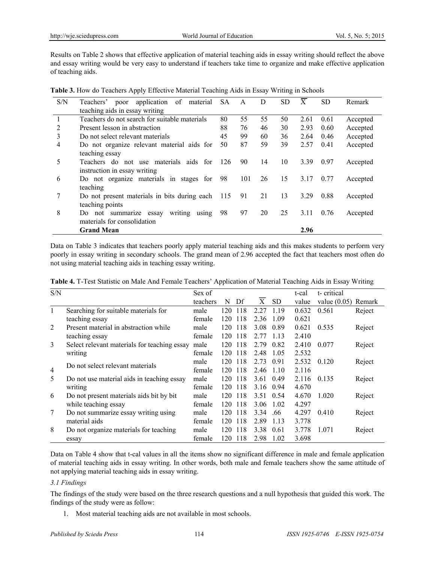Results on Table 2 shows that effective application of material teaching aids in essay writing should reflect the above and essay writing would be very easy to understand if teachers take time to organize and make effective application of teaching aids.

| S/N          | application of<br>material<br>Teachers'<br>poor                           | SA  | A   | D  | <b>SD</b> | X    | <b>SD</b> | Remark   |
|--------------|---------------------------------------------------------------------------|-----|-----|----|-----------|------|-----------|----------|
|              | teaching aids in essay writing                                            |     |     |    |           |      |           |          |
| $\mathbf{1}$ | Teachers do not search for suitable materials                             | 80  | 55  | 55 | 50        | 2.61 | 0.61      | Accepted |
| 2            | Present lesson in abstraction                                             | 88  | 76  | 46 | 30        | 2.93 | 0.60      | Accepted |
| 3            | Do not select relevant materials                                          | 45  | 99  | 60 | 36        | 2.64 | 0.46      | Accepted |
| 4            | Do not organize relevant material aids for<br>teaching essay              | 50  | 87  | 59 | 39        | 2.57 | 0.41      | Accepted |
| 5            | not use materials aids for<br>Teachers do<br>instruction in essay writing | 126 | 90  | 14 | 10        | 3.39 | 0.97      | Accepted |
| 6            | Do not organize materials in stages for<br>teaching                       | 98  | 101 | 26 | 15        | 3.17 | 0.77      | Accepted |
| 7            | Do not present materials in bits during each 115<br>teaching points       |     | 91  | 21 | 13        | 3.29 | 0.88      | Accepted |
| 8            | writing<br>Do not summarize essay<br>using<br>materials for consolidation | 98  | 97  | 20 | 25        | 3.11 | 0.76      | Accepted |
|              | <b>Grand Mean</b>                                                         |     |     |    |           | 2.96 |           |          |

**Table 3.** How do Teachers Apply Effective Material Teaching Aids in Essay Writing in Schools

Data on Table 3 indicates that teachers poorly apply material teaching aids and this makes students to perform very poorly in essay writing in secondary schools. The grand mean of 2.96 accepted the fact that teachers most often do not using material teaching aids in teaching essay writing.

| S/N            |                                              | Sex of   |     |      |      |           | t-cal | t-critical            |        |
|----------------|----------------------------------------------|----------|-----|------|------|-----------|-------|-----------------------|--------|
|                |                                              | teachers | N   | Df   | X    | <b>SD</b> | value | value $(0.05)$ Remark |        |
| $\mathbf{1}$   | Searching for suitable materials for         | male     | 120 | 118  | 2.27 | 1.19      | 0.632 | 0.561                 | Reject |
|                | teaching essay                               | female   | 120 | 118  | 2.36 | 1.09      | 0.621 |                       |        |
| 2              | Present material in abstraction while        | male     | 120 | 118  | 3.08 | 0.89      | 0.621 | 0.535                 | Reject |
|                | teaching essay                               | female   | 120 | 118  | 2.77 | 1.13      | 2.410 |                       |        |
| 3              | Select relevant materials for teaching essay | male     | 120 | 118  | 2.79 | 0.82      | 2.410 | 0.077                 | Reject |
|                | writing                                      | female   | 120 | 118  | 2.48 | 1.05      | 2.532 |                       |        |
|                |                                              | male     | 120 | 118  | 2.73 | 0.91      | 2.532 | 0.120                 | Reject |
| $\overline{4}$ | Do not select relevant materials             | female   | 120 | 118  | 2.46 | 1.10      | 2.116 |                       |        |
| 5              | Do not use material aids in teaching essay   | male     | 120 | -118 | 3.61 | 0.49      | 2.116 | 0.135                 | Reject |
|                | writing                                      | female   | 120 | 118  | 3.16 | 0.94      | 4.670 |                       |        |
| 6              | Do not present materials aids bit by bit     | male     | 120 | 118  | 3.51 | 0.54      | 4.670 | 1.020                 | Reject |
|                | while teaching essay                         | female   | 120 | 118  | 3.06 | 1.02      | 4.297 |                       |        |
| 7              | Do not summarize essay writing using         | male     | 120 | 118  | 3.34 | .66       | 4.297 | 0.410                 | Reject |
|                | material aids                                | female   | 120 | 118  | 2.89 | 1.13      | 3.778 |                       |        |
| 8              | Do not organize materials for teaching       | male     | 120 | 118  | 3.38 | 0.61      | 3.778 | 1.071                 | Reject |
|                | essay                                        | female   | 120 | 118  | 2.98 | 1.02      | 3.698 |                       |        |

**Table 4.** T-Test Statistic on Male And Female Teachers' Application of Material Teaching Aids in Essay Writing

Data on Table 4 show that t-cal values in all the items show no significant difference in male and female application of material teaching aids in essay writing. In other words, both male and female teachers show the same attitude of not applying material teaching aids in essay writing.

# *3.1 Findings*

The findings of the study were based on the three research questions and a null hypothesis that guided this work. The findings of the study were as follow:

1. Most material teaching aids are not available in most schools.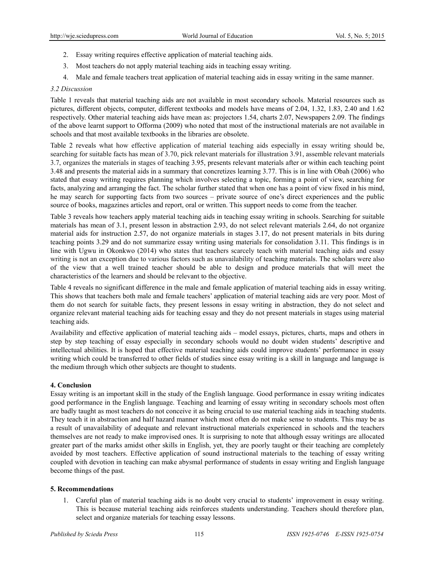- 2. Essay writing requires effective application of material teaching aids.
- 3. Most teachers do not apply material teaching aids in teaching essay writing.
- 4. Male and female teachers treat application of material teaching aids in essay writing in the same manner.

# *3.2 Discussion*

Table 1 reveals that material teaching aids are not available in most secondary schools. Material resources such as pictures, different objects, computer, different textbooks and models have means of 2.04, 1.32, 1.83, 2.40 and 1.62 respectively. Other material teaching aids have mean as: projectors 1.54, charts 2.07, Newspapers 2.09. The findings of the above learnt support to Offorma (2009) who noted that most of the instructional materials are not available in schools and that most available textbooks in the libraries are obsolete.

Table 2 reveals what how effective application of material teaching aids especially in essay writing should be, searching for suitable facts has mean of 3.70, pick relevant materials for illustration 3.91, assemble relevant materials 3.7, organizes the materials in stages of teaching 3.95, presents relevant materials after or within each teaching point 3.48 and presents the material aids in a summary that concretizes learning 3.77. This is in line with Obah (2006) who stated that essay writing requires planning which involves selecting a topic, forming a point of view, searching for facts, analyzing and arranging the fact. The scholar further stated that when one has a point of view fixed in his mind, he may search for supporting facts from two sources – private source of one's direct experiences and the public source of books, magazines articles and report, oral or written. This support needs to come from the teacher.

Table 3 reveals how teachers apply material teaching aids in teaching essay writing in schools. Searching for suitable materials has mean of 3.1, present lesson in abstraction 2.93, do not select relevant materials 2.64, do not organize material aids for instruction 2.57, do not organize materials in stages 3.17, do not present materials in bits during teaching points 3.29 and do not summarize essay writing using materials for consolidation 3.11. This findings is in line with Ugwu in Okonkwo (2014) who states that teachers scarcely teach with material teaching aids and essay writing is not an exception due to various factors such as unavailability of teaching materials. The scholars were also of the view that a well trained teacher should be able to design and produce materials that will meet the characteristics of the learners and should be relevant to the objective.

Table 4 reveals no significant difference in the male and female application of material teaching aids in essay writing. This shows that teachers both male and female teachers' application of material teaching aids are very poor. Most of them do not search for suitable facts, they present lessons in essay writing in abstraction, they do not select and organize relevant material teaching aids for teaching essay and they do not present materials in stages using material teaching aids.

Availability and effective application of material teaching aids – model essays, pictures, charts, maps and others in step by step teaching of essay especially in secondary schools would no doubt widen students' descriptive and intellectual abilities. It is hoped that effective material teaching aids could improve students' performance in essay writing which could be transferred to other fields of studies since essay writing is a skill in language and language is the medium through which other subjects are thought to students.

# **4. Conclusion**

Essay writing is an important skill in the study of the English language. Good performance in essay writing indicates good performance in the English language. Teaching and learning of essay writing in secondary schools most often are badly taught as most teachers do not conceive it as being crucial to use material teaching aids in teaching students. They teach it in abstraction and half hazard manner which most often do not make sense to students. This may be as a result of unavailability of adequate and relevant instructional materials experienced in schools and the teachers themselves are not ready to make improvised ones. It is surprising to note that although essay writings are allocated greater part of the marks amidst other skills in English, yet, they are poorly taught or their teaching are completely avoided by most teachers. Effective application of sound instructional materials to the teaching of essay writing coupled with devotion in teaching can make abysmal performance of students in essay writing and English language become things of the past.

# **5. Recommendations**

1. Careful plan of material teaching aids is no doubt very crucial to students' improvement in essay writing. This is because material teaching aids reinforces students understanding. Teachers should therefore plan, select and organize materials for teaching essay lessons.